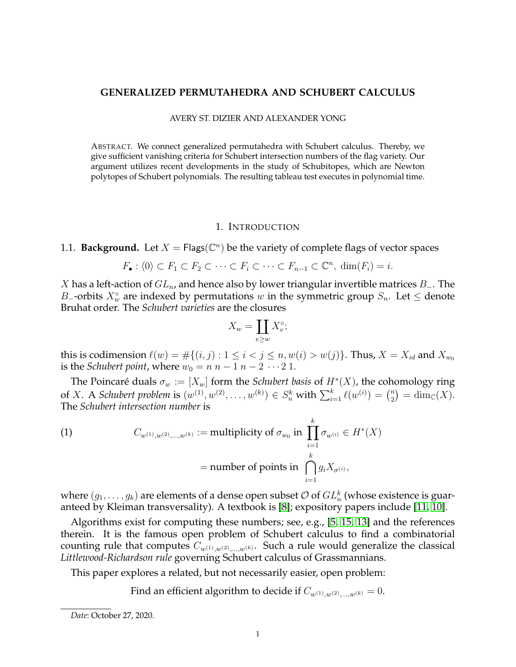## **GENERALIZED PERMUTAHEDRA AND SCHUBERT CALCULUS**

#### AVERY ST. DIZIER AND ALEXANDER YONG

ABSTRACT. We connect generalized permutahedra with Schubert calculus. Thereby, we give sufficient vanishing criteria for Schubert intersection numbers of the flag variety. Our argument utilizes recent developments in the study of Schubitopes, which are Newton polytopes of Schubert polynomials. The resulting tableau test executes in polynomial time.

## 1. INTRODUCTION

# 1.1. **Background.** Let  $X = \mathsf{Flags}(\mathbb{C}^n)$  be the variety of complete flags of vector spaces

$$
F_{\bullet}: \langle 0 \rangle \subset F_1 \subset F_2 \subset \cdots \subset F_i \subset \cdots \subset F_{n-1} \subset \mathbb{C}^n, \dim(F_i) = i.
$$

X has a left-action of  $GL_n$ , and hence also by lower triangular invertible matrices  $B_-\$ . The B<sub>-</sub>-orbits  $X_w^{\circ}$  are indexed by permutations w in the symmetric group  $S_n$ . Let  $\leq$  denote Bruhat order. The *Schubert varieties* are the closures

$$
X_w = \coprod_{v \ge w} X_v^\circ;
$$

this is codimension  $\ell(w) = #\{(i, j) : 1 \le i < j \le n, w(i) > w(j)\}$ . Thus,  $X = X_{id}$  and  $X_{w_0}$ is the *Schubert point*, where  $w_0 = n n - 1 n - 2 \cdots 2 1$ .

The Poincaré duals  $\sigma_w := [X_w]$  form the *Schubert basis* of  $H^*(X)$ , the cohomology ring of X. A *Schubert problem* is  $(w^{(1)}, w^{(2)}, \dots, w^{(k)}) \in S_n^k$  with  $\sum_{i=1}^k \ell(w^{(i)}) = \binom{n}{2}$  $\binom{n}{2} = \dim_{\mathbb{C}}(X).$ The *Schubert intersection number* is

<span id="page-0-0"></span>(1) 
$$
C_{w^{(1)},w^{(2)},\dots,w^{(k)}} := \text{multiplicity of } \sigma_{w_0} \text{ in } \prod_{i=1}^k \sigma_{w^{(i)}} \in H^*(X)
$$

$$
= \text{number of points in } \bigcap_{i=1}^k g_i X_{\sigma^{(i)}},
$$

where  $(g_1,\ldots,g_k)$  are elements of a dense open subset  $\mathcal O$  of  $GL_n^k$  (whose existence is guaranteed by Kleiman transversality). A textbook is [\[8\]](#page-12-0); expository papers include [\[11,](#page-12-1) [10\]](#page-12-2).

Algorithms exist for computing these numbers; see, e.g., [\[5,](#page-12-3) [15,](#page-12-4) [13\]](#page-12-5) and the references therein. It is the famous open problem of Schubert calculus to find a combinatorial counting rule that computes  $C_{w^{(1)},w^{(2)},...,w^{(k)}}$ . Such a rule would generalize the classical *Littlewood-Richardson rule* governing Schubert calculus of Grassmannians.

This paper explores a related, but not necessarily easier, open problem:

Find an efficient algorithm to decide if  $C_{w^{(1)},w^{(2)},...,w^{(k)}}=0$ .

*Date*: October 27, 2020.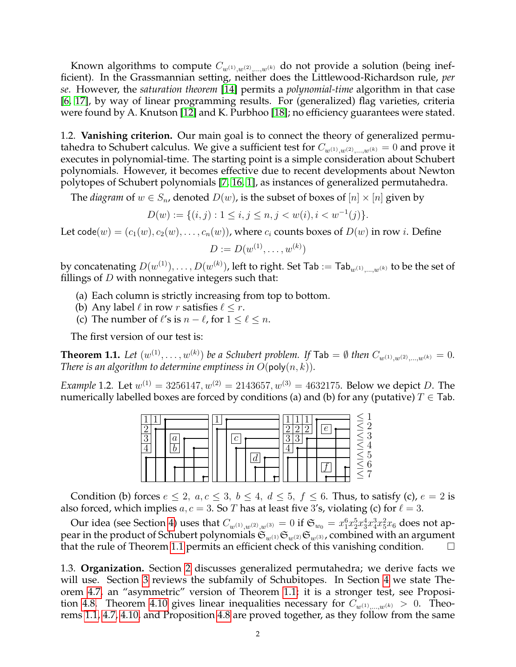Known algorithms to compute  $C_{w^{(1)},w^{(2)},...,w^{(k)}}$  do not provide a solution (being inefficient). In the Grassmannian setting, neither does the Littlewood-Richardson rule, *per se*. However, the *saturation theorem* [\[14\]](#page-12-6) permits a *polynomial-time* algorithm in that case [\[6,](#page-12-7) [17\]](#page-12-8), by way of linear programming results. For (generalized) flag varieties, criteria were found by A. Knutson [\[12\]](#page-12-9) and K. Purbhoo [\[18\]](#page-12-10); no efficiency guarantees were stated.

1.2. **Vanishing criterion.** Our main goal is to connect the theory of generalized permutahedra to Schubert calculus. We give a sufficient test for  $C_{w^{(1)},w^{(2)},...,w^{(k)}} = 0$  and prove it executes in polynomial-time. The starting point is a simple consideration about Schubert polynomials. However, it becomes effective due to recent developments about Newton polytopes of Schubert polynomials [\[7,](#page-12-11) [16,](#page-12-12) [1\]](#page-12-13), as instances of generalized permutahedra.

The *diagram* of  $w \in S_n$ , denoted  $D(w)$ , is the subset of boxes of  $[n] \times [n]$  given by

$$
D(w) := \{ (i, j) : 1 \le i, j \le n, j < w(i), i < w^{-1}(j) \}.
$$

Let code(w) =  $(c_1(w), c_2(w), \ldots, c_n(w))$ , where  $c_i$  counts boxes of  $D(w)$  in row *i*. Define

$$
D := D(w^{(1)}, \dots, w^{(k)})
$$

by concatenating  $D(w^{(1)}),\ldots,D(w^{(k)}).$  left to right. Set Tab  $:=$  Tab $_{w^{(1)},...,w^{(k)}}$  to be the set of fillings of  $D$  with nonnegative integers such that:

- (a) Each column is strictly increasing from top to bottom.
- (b) Any label  $\ell$  in row r satisfies  $\ell \leq r$ .
- (c) The number of  $\ell'$ s is  $n \ell$ , for  $1 \leq \ell \leq n$ .

The first version of our test is:

<span id="page-1-0"></span>**Theorem 1.1.** Let  $(w^{(1)}, \ldots, w^{(k)})$  be a Schubert problem. If  $\textsf{Tab} = \emptyset$  then  $C_{w^{(1)},w^{(2)},\ldots,w^{(k)}} = 0$ . *There is an algorithm to determine emptiness in*  $O(\text{poly}(n, k))$ *.* 

<span id="page-1-1"></span>*Example* 1.2. Let  $w^{(1)} = 3256147, w^{(2)} = 2143657, w^{(3)} = 4632175$ . Below we depict D. The numerically labelled boxes are forced by conditions (a) and (b) for any (putative)  $T \in$  Tab.



Condition (b) forces  $e \le 2$ ,  $a, c \le 3$ ,  $b \le 4$ ,  $d \le 5$ ,  $f \le 6$ . Thus, to satisfy (c),  $e = 2$  is also forced, which implies  $a, c = 3$ . So T has at least five 3's, violating (c) for  $\ell = 3$ .

Our idea (see Section [4\)](#page-5-0) uses that  $C_{w^{(1)},w^{(2)},w^{(3)}}=0$  if  $\mathfrak{S}_{w_0}=x_1^6x_2^5x_3^4x_4^3x_5^2x_6$  does not appear in the product of Schubert polynomials  $\mathfrak{S}_{w^{(1)}}\mathfrak{S}_{w^{(2)}}\mathfrak{S}_{w^{(3)}}$ , combined with an argument that the rule of Theorem [1.1](#page-1-0) permits an efficient check of this vanishing condition.  $\Box$ 

1.3. **Organization.** Section [2](#page-2-0) discusses generalized permutahedra; we derive facts we will use. Section [3](#page-3-0) reviews the subfamily of Schubitopes. In Section [4](#page-5-0) we state Theorem [4.7,](#page-6-0) an "asymmetric" version of Theorem [1.1;](#page-1-0) it is a stronger test, see Proposi-tion [4.8.](#page-6-1) Theorem [4.10](#page-7-0) gives linear inequalities necessary for  $C_{w^{(1)},...,w^{(k)}} > 0$ . Theorems [1.1,](#page-1-0) [4.7,](#page-6-0) [4.10,](#page-7-0) and Proposition [4.8](#page-6-1) are proved together, as they follow from the same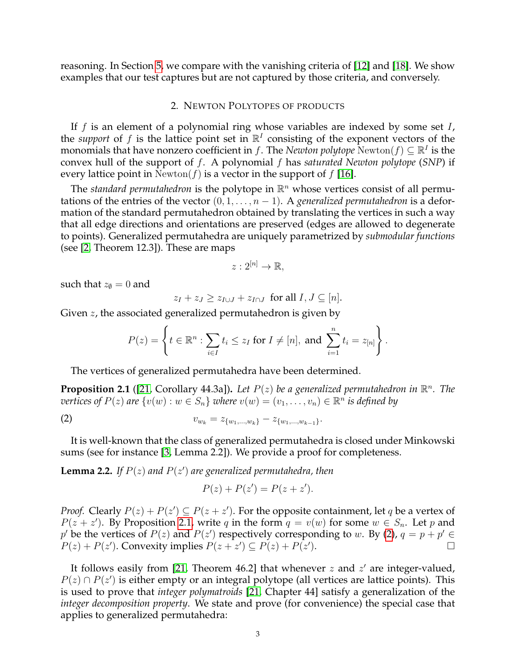reasoning. In Section [5,](#page-9-0) we compare with the vanishing criteria of [\[12\]](#page-12-9) and [\[18\]](#page-12-10). We show examples that our test captures but are not captured by those criteria, and conversely.

### 2. NEWTON POLYTOPES OF PRODUCTS

<span id="page-2-0"></span>If  $f$  is an element of a polynomial ring whose variables are indexed by some set  $I$ , the *support* of f is the lattice point set in  $\mathbb{R}^I$  consisting of the exponent vectors of the monomials that have nonzero coefficient in f. The *Newton polytope*  $\text{Newton}(f) \subseteq \mathbb{R}^I$  is the convex hull of the support of f. A polynomial f has *saturated Newton polytope* (*SNP*) if every lattice point in Newton(f) is a vector in the support of  $f$  [\[16\]](#page-12-12).

The *standard permutahedron* is the polytope in  $\mathbb{R}^n$  whose vertices consist of all permutations of the entries of the vector  $(0, 1, \ldots, n-1)$ . A *generalized permutahedron* is a deformation of the standard permutahedron obtained by translating the vertices in such a way that all edge directions and orientations are preserved (edges are allowed to degenerate to points). Generalized permutahedra are uniquely parametrized by *submodular functions* (see [\[2,](#page-12-14) Theorem 12.3]). These are maps

$$
z: 2^{[n]} \to \mathbb{R},
$$

such that  $z_{\emptyset} = 0$  and

$$
z_I + z_J \ge z_{I \cup J} + z_{I \cap J} \text{ for all } I, J \subseteq [n].
$$

Given z, the associated generalized permutahedron is given by

$$
P(z) = \left\{ t \in \mathbb{R}^n : \sum_{i \in I} t_i \leq z_I \text{ for } I \neq [n], \text{ and } \sum_{i=1}^n t_i = z_{[n]} \right\}.
$$

The vertices of generalized permutahedra have been determined.

<span id="page-2-1"></span>**Proposition 2.1** ([\[21,](#page-12-15) Corollary 44.3a]). Let  $P(z)$  be a generalized permutahedron in  $\mathbb{R}^n$ . The  $\overline{v}$ ertices of  $P(z)$  are  $\{v(w): w \in S_n\}$  where  $v(w) = (v_1, \ldots, v_n) \in \mathbb{R}^n$  is defined by

(2) 
$$
v_{w_k} = z_{\{w_1,\ldots,w_k\}} - z_{\{w_1,\ldots,w_{k-1}\}}.
$$

It is well-known that the class of generalized permutahedra is closed under Minkowski sums (see for instance [\[3,](#page-12-16) Lemma 2.2]). We provide a proof for completeness.

<span id="page-2-3"></span>**Lemma 2.2.** If  $P(z)$  and  $P(z')$  are generalized permutahedra, then

<span id="page-2-2"></span>
$$
P(z) + P(z') = P(z + z').
$$

*Proof.* Clearly  $P(z) + P(z') \subseteq P(z + z')$ . For the opposite containment, let q be a vertex of  $P(z + z')$ . By Proposition [2.1,](#page-2-1) write q in the form  $q = v(w)$  for some  $w \in S_n$ . Let p and  $p'$  be the vertices of  $P(z)$  and  $P(z')$  respectively corresponding to w. By [\(2\)](#page-2-2),  $q = p + p' \in$  $P(z) + P(z')$ . Convexity implies  $P(z + z') \subseteq P(z) + P(z')$ ).  $\qquad \qquad \Box$ 

It follows easily from [\[21,](#page-12-15) Theorem 46.2] that whenever  $z$  and  $z'$  are integer-valued,  $P(z) \cap P(z')$  is either empty or an integral polytope (all vertices are lattice points). This is used to prove that *integer polymatroids* [\[21,](#page-12-15) Chapter 44] satisfy a generalization of the *integer decomposition property*. We state and prove (for convenience) the special case that applies to generalized permutahedra: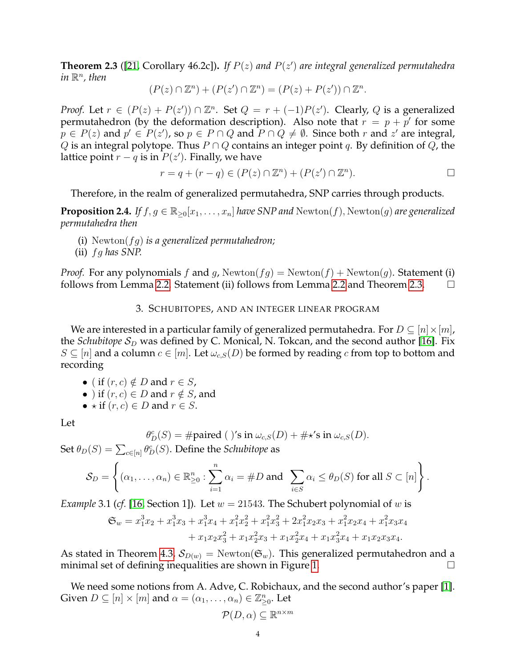<span id="page-3-1"></span>**Theorem 2.3** ([\[21,](#page-12-15) Corollary 46.2c])**.** *If* P(z) *and* P(z 0 ) *are integral generalized permutahedra*  $in \mathbb{R}^n$ , then

$$
(P(z) \cap \mathbb{Z}^n) + (P(z') \cap \mathbb{Z}^n) = (P(z) + P(z')) \cap \mathbb{Z}^n.
$$

*Proof.* Let  $r \in (P(z) + P(z')) \cap \mathbb{Z}^n$ . Set  $Q = r + (-1)P(z')$ . Clearly, Q is a generalized permutahedron (by the deformation description). Also note that  $r = p + p'$  for some  $p \in P(z)$  and  $p' \in P(z')$ , so  $p \in P \cap Q$  and  $P \cap Q \neq \emptyset$ . Since both  $r$  and  $z'$  are integral, Q is an integral polytope. Thus  $P \cap Q$  contains an integer point q. By definition of Q, the lattice point  $r - q$  is in  $P(z')$ . Finally, we have

$$
r = q + (r - q) \in (P(z) \cap \mathbb{Z}^n) + (P(z') \cap \mathbb{Z}^n).
$$

Therefore, in the realm of generalized permutahedra, SNP carries through products.

<span id="page-3-2"></span>**Proposition 2.4.** *If*  $f, g \in \mathbb{R}_{>0}[x_1, \ldots, x_n]$  *have SNP and*  $Newton(f)$ ,  $Newton(g)$  *are generalized permutahedra then*

- (i) Newton(fg) *is a generalized permutahedron;*
- (ii) fg *has SNP.*

*Proof.* For any polynomials f and g,  $Newton(fg) = Newton(f) + Newton(g)$ . Statement (i) follows from Lemma [2.2.](#page-2-3) Statement (ii) follows from Lemma [2.2](#page-2-3) and Theorem [2.3.](#page-3-1)  $\Box$ 

#### 3. SCHUBITOPES, AND AN INTEGER LINEAR PROGRAM

<span id="page-3-0"></span>We are interested in a particular family of generalized permutahedra. For  $D \subseteq [n] \times [m]$ , the *Schubitope*  $S_D$  was defined by C. Monical, N. Tokcan, and the second author [\[16\]](#page-12-12). Fix  $S \subseteq [n]$  and a column  $c \in [m]$ . Let  $\omega_{c,S}(D)$  be formed by reading c from top to bottom and recording

- ( if  $(r, c) \notin D$  and  $r \in S$ ,
- ) if  $(r, c) \in D$  and  $r \notin S$ , and
- $\star$  if  $(r, c) \in D$  and  $r \in S$ .

Let

$$
\theta_D^c(S) = \text{#paired } (\text{ }) \text{'s in } \omega_{c,S}(D) + \text{#} \star \text{'s in } \omega_{c,S}(D).
$$

Set  $\theta_D(S) = \sum_{c \in [n]} \theta_D^c(S).$  Define the *Schubitope* as

$$
\mathcal{S}_D = \left\{ (\alpha_1, \dots, \alpha_n) \in \mathbb{R}_{\geq 0}^n : \sum_{i=1}^n \alpha_i = \#D \text{ and } \sum_{i \in S} \alpha_i \leq \theta_D(S) \text{ for all } S \subset [n] \right\}.
$$

*Example* 3.1 (*cf.* [\[16,](#page-12-12) Section 1]). Let  $w = 21543$ . The Schubert polynomial of w is

$$
\mathfrak{S}_w = x_1^3 x_2 + x_1^3 x_3 + x_1^3 x_4 + x_1^2 x_2^2 + x_1^2 x_3^2 + 2 x_1^2 x_2 x_3 + x_1^2 x_2 x_4 + x_1^2 x_3 x_4 + x_1 x_2 x_3^2 + x_1 x_2^2 x_3 + x_1 x_2^2 x_4 + x_1 x_3^2 x_4 + x_1 x_2 x_3 x_4.
$$

As stated in Theorem [4.3,](#page-6-2)  $\mathcal{S}_{D(w)} = \text{Newton}(\mathfrak{S}_w)$ . This generalized permutahedron and a minimal set of defining inequalities are shown in Figure [1.](#page-4-0)

We need some notions from A. Adve, C. Robichaux, and the second author's paper [\[1\]](#page-12-13). Given  $D \subseteq [n] \times [m]$  and  $\alpha = (\alpha_1, \dots, \alpha_n) \in \mathbb{Z}_{\geq 0}^n$ . Let

$$
\mathcal{P}(D,\alpha) \subseteq \mathbb{R}^{n \times m}
$$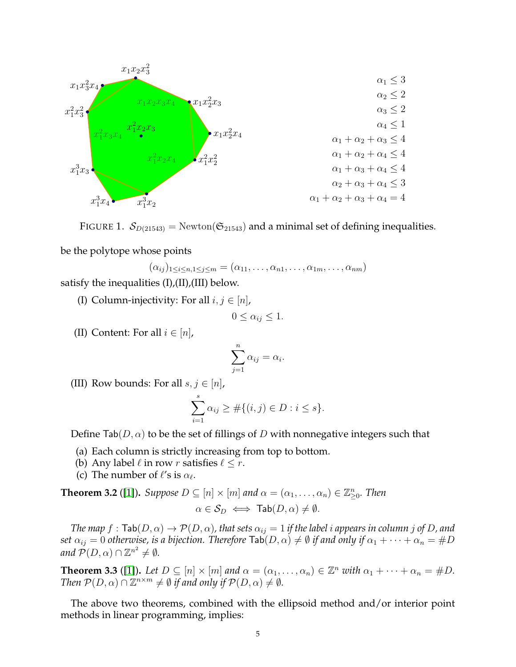

FIGURE 1.  $\mathcal{S}_{D(21543)} = \text{Newton}(\mathfrak{S}_{21543})$  and a minimal set of defining inequalities.

be the polytope whose points

<span id="page-4-0"></span>
$$
(\alpha_{ij})_{1\leq i\leq n, 1\leq j\leq m} = (\alpha_{11}, \ldots, \alpha_{n1}, \ldots, \alpha_{1m}, \ldots, \alpha_{nm})
$$

satisfy the inequalities  $(I), (II), (III)$  below.

(I) Column-injectivity: For all  $i, j \in [n]$ ,

$$
0 \leq \alpha_{ij} \leq 1.
$$

(II) Content: For all  $i \in [n]$ ,

$$
\sum_{j=1}^{n} \alpha_{ij} = \alpha_i.
$$

(III) Row bounds: For all  $s, j \in [n]$ ,

$$
\sum_{i=1}^{s} \alpha_{ij} \ge \#\{(i,j) \in D : i \le s\}.
$$

Define Tab( $D, \alpha$ ) to be the set of fillings of D with nonnegative integers such that

- (a) Each column is strictly increasing from top to bottom.
- (b) Any label  $\ell$  in row r satisfies  $\ell < r$ .
- (c) The number of  $\ell$ 's is  $\alpha_{\ell}$ .

<span id="page-4-1"></span>**Theorem 3.2** ([\[1\]](#page-12-13)). *Suppose*  $D \subseteq [n] \times [m]$  and  $\alpha = (\alpha_1, \dots, \alpha_n) \in \mathbb{Z}_{\geq 0}^n$ . *Then* 

$$
\alpha \in \mathcal{S}_D \iff \mathsf{Tab}(D, \alpha) \neq \emptyset.
$$

*The map*  $f : \text{Tab}(D, \alpha) \to \mathcal{P}(D, \alpha)$ , that sets  $\alpha_{ij} = 1$  if the label i appears in column j of D, and *set*  $\alpha_{ij} = 0$  *otherwise, is a bijection. Therefore*  $\text{Tab}(D, \alpha) \neq \emptyset$  *if and only if*  $\alpha_1 + \cdots + \alpha_n = \#D$ and  $\mathcal{P}(D,\alpha)\cap\mathbb{Z}^{n^2}\neq\emptyset$ .

**Theorem 3.3** ([\[1\]](#page-12-13)). Let  $D \subseteq [n] \times [m]$  and  $\alpha = (\alpha_1, \dots, \alpha_n) \in \mathbb{Z}^n$  with  $\alpha_1 + \dots + \alpha_n = \#D$ . *Then*  $\mathcal{P}(D,\alpha) \cap \mathbb{Z}^{n \times m} \neq \emptyset$  *if and only if*  $\mathcal{P}(D,\alpha) \neq \emptyset$ *.* 

The above two theorems, combined with the ellipsoid method and/or interior point methods in linear programming, implies: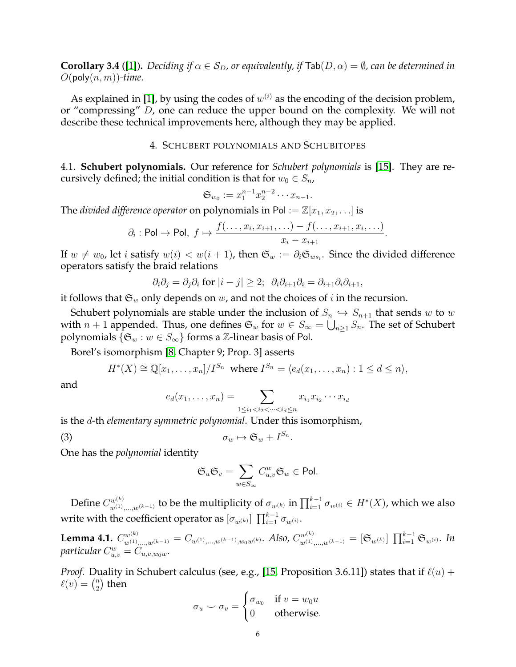<span id="page-5-2"></span>**Corollary 3.4** ([\[1\]](#page-12-13)). *Deciding if*  $\alpha \in S_D$ , or equivalently, if  $\text{Tab}(D, \alpha) = \emptyset$ , can be determined in  $O(\text{poly}(n, m))$ -time.

As explained in [\[1\]](#page-12-13), by using the codes of  $w^{(i)}$  as the encoding of the decision problem, or "compressing" D, one can reduce the upper bound on the complexity. We will not describe these technical improvements here, although they may be applied.

# 4. SCHUBERT POLYNOMIALS AND SCHUBITOPES

<span id="page-5-0"></span>4.1. **Schubert polynomials.** Our reference for *Schubert polynomials* is [\[15\]](#page-12-4). They are recursively defined; the initial condition is that for  $w_0 \in S_n$ ,

$$
\mathfrak{S}_{w_0} := x_1^{n-1} x_2^{n-2} \cdots x_{n-1}.
$$

The *divided difference operator* on polynomials in Pol :=  $\mathbb{Z}[x_1, x_2, \ldots]$  is

$$
\partial_i : \mathsf{Pol} \to \mathsf{Pol}, \ f \mapsto \frac{f(\ldots, x_i, x_{i+1}, \ldots) - f(\ldots, x_{i+1}, x_i, \ldots)}{x_i - x_{i+1}}.
$$

If  $w \neq w_0$ , let i satisfy  $w(i) < w(i+1)$ , then  $\mathfrak{S}_w := \partial_i \mathfrak{S}_{ws_i}$ . Since the divided difference operators satisfy the braid relations

$$
\partial_i \partial_j = \partial_j \partial_i
$$
 for  $|i - j| \geq 2$ ;  $\partial_i \partial_{i+1} \partial_i = \partial_{i+1} \partial_i \partial_{i+1}$ ,

it follows that  $\mathfrak{S}_w$  only depends on w, and not the choices of i in the recursion.

Schubert polynomials are stable under the inclusion of  $S_n \hookrightarrow S_{n+1}$  that sends w to w with  $n+1$  appended. Thus, one defines  $\mathfrak{S}_w$  for  $w\in S_\infty=\bigcup_{n\geq 1}S_n.$  The set of Schubert polynomials  $\{\mathfrak{S}_w : w \in S_\infty\}$  forms a  $\mathbb{Z}\text{-linear basis}$  of Pol.

Borel's isomorphism [\[8,](#page-12-0) Chapter 9; Prop. 3] asserts

$$
H^*(X) \cong \mathbb{Q}[x_1,\ldots,x_n]/I^{S_n} \text{ where } I^{S_n} = \langle e_d(x_1,\ldots,x_n) : 1 \leq d \leq n \rangle,
$$

and

$$
e_d(x_1, ..., x_n) = \sum_{1 \le i_1 < i_2 < ... < i_d \le n} x_{i_1} x_{i_2} \cdots x_{i_d}
$$

.

is the d-th *elementary symmetric polynomial*. Under this isomorphism,

$$
\sigma_w \mapsto \mathfrak{S}_w + I^{S_n}
$$

One has the *polynomial* identity

<span id="page-5-1"></span>
$$
\mathfrak{S}_u \mathfrak{S}_v = \sum_{w \in S_\infty} C_{u,v}^w \mathfrak{S}_w \in \text{Pol}.
$$

Define  $C_{w^{(1)},...,w^{(k-1)}}^{w^{(k)}}$  to be the multiplicity of  $\sigma_{w^{(k)}}$  in  $\prod_{i=1}^{k-1}\sigma_{w^{(i)}}\in H^*(X)$ , which we also write with the coefficient operator as  $[\sigma_{w^{(k)}}]\, \prod_{i=1}^{k-1} \sigma_{w^{(i)}}.$ 

<span id="page-5-3"></span>**Lemma 4.1.**  $C_{w^{(1)},...,w^{(k-1)}}^{w^{(k)}} = C_{w^{(1)},...,w^{(k-1)},w_0w^{(k)}}$ . Also,  $C_{w^{(1)},...,w^{(k-1)}}^{w^{(k)}} = [\mathfrak{S}_{w^{(k)}}] \prod_{i=1}^{k-1} \mathfrak{S}_{w^{(i)}}$ . In  $\emph{particular }$   $C_{u,v}^w=C_{u,v,w_0w}.$ 

*Proof.* Duality in Schubert calculus (see, e.g., [\[15,](#page-12-4) Proposition 3.6.11]) states that if  $\ell(u)$  +  $\ell(v) = \binom{n}{2}$  $n \choose 2$  then

$$
\sigma_u \smile \sigma_v = \begin{cases} \sigma_{w_0} & \text{if } v = w_0 u \\ 0 & \text{otherwise.} \end{cases}
$$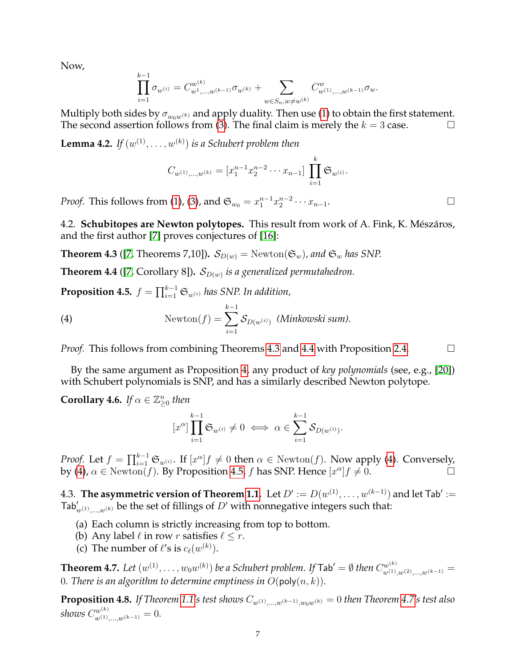Now,

$$
\prod_{i=1}^{k-1} \sigma_{w^{(i)}} = C_{w^1,\ldots,w^{(k-1)}}^{\omega^{(k)}} \sigma_{w^{(k)}} + \sum_{w \in S_n, w \neq w^{(k)}} C_{w^{(1)},\ldots,w^{(k-1)}}^{\omega} \sigma_w.
$$

Multiply both sides by  $\sigma_{w_0w^{(k)}}$  and apply duality. Then use [\(1\)](#page-0-0) to obtain the first statement. The second assertion follows from [\(3\)](#page-5-1). The final claim is merely the  $k = 3$  case.

<span id="page-6-7"></span>**Lemma 4.2.** If  $(w^{(1)}, \ldots, w^{(k)})$  is a Schubert problem then

$$
C_{w^{(1)},...,w^{(k)}} = [x_1^{n-1} x_2^{n-2} \cdots x_{n-1}] \prod_{i=1}^k \mathfrak{S}_{w^{(i)}}.
$$

*Proof.* This follows from [\(1\)](#page-0-0), [\(3\)](#page-5-1), and  $\mathfrak{S}_{w_0} = x_1^{n-1} x_2^{n-2} \cdots x_{n-1}$ .  $□$ 

4.2. **Schubitopes are Newton polytopes.** This result from work of A. Fink, K. Mészáros, and the first author [\[7\]](#page-12-11) proves conjectures of [\[16\]](#page-12-12):

<span id="page-6-2"></span>**Theorem 4.3** ([\[7,](#page-12-11) Theorems 7,10]).  $S_{D(w)} = \text{Newton}(\mathfrak{S}_w)$ , and  $\mathfrak{S}_w$  has SNP.

<span id="page-6-3"></span>**Theorem 4.4** ([\[7,](#page-12-11) Corollary 8]).  $\mathcal{S}_{D(w)}$  is a generalized permutahedron.

<span id="page-6-5"></span>**Proposition 4.5.**  $f = \prod_{i=1}^{k-1} \mathfrak{S}_{w^{(i)}}$  has SNP. In addition,

(4) 
$$
\text{Newton}(f) = \sum_{i=1}^{k-1} \mathcal{S}_{D(w^{(i)})} \text{ (Minkowski sum)}.
$$

*Proof.* This follows from combining Theorems [4.3](#page-6-2) and [4.4](#page-6-3) with Proposition [2.4.](#page-3-2)  $\Box$ 

By the same argument as Proposition [4,](#page-6-4) any product of *key polynomials* (see, e.g., [\[20\]](#page-12-17)) with Schubert polynomials is SNP, and has a similarly described Newton polytope.

<span id="page-6-6"></span>**Corollary 4.6.** If  $\alpha \in \mathbb{Z}_{\geq 0}^n$  then

<span id="page-6-4"></span>
$$
[x^{\alpha}]\prod_{i=1}^{k-1}{\mathfrak{S}}_{w^{(i)}}\neq 0\iff \alpha\in \sum_{i=1}^{k-1}{\mathcal{S}}_{D(w^{(i)})}.
$$

*Proof.* Let  $f = \prod_{i=1}^{k-1} \mathfrak{S}_{w^{(i)}}$ . If  $[x^{\alpha}]f \neq 0$  then  $\alpha \in \text{Newton}(f)$ . Now apply [\(4\)](#page-6-4). Conversely, by [\(4\)](#page-6-4),  $\alpha \in \text{Newton}(f)$ . By Proposition [4.5,](#page-6-5) f has SNP. Hence  $[x^{\alpha}]f \neq 0$ .

4.3. T**he asymmetric version of Theorem [1.1.](#page-1-0)** Let  $D' := D(w^{(1)}, \ldots, w^{(k-1)})$  and let Tab $' :=$  $\textsf{Tab}'_{w^{(1)},...,w^{(k)}}$  be the set of fillings of  $D'$  with nonnegative integers such that:

- (a) Each column is strictly increasing from top to bottom.
- (b) Any label  $\ell$  in row r satisfies  $\ell \leq r$ .
- (c) The number of  $\ell'$ s is  $c_{\ell}(w^{(k)})$ .

<span id="page-6-0"></span>**Theorem 4.7.** Let  $(w^{(1)},\ldots,w_0w^{(k)})$  be a Schubert problem. If  $\textsf{Tab}'=\emptyset$  then  $C_{w^{(1)},w^{(2)},...,w^{(k-1)}}^{w^{(k)}}=0$ 0. There is an algorithm to determine emptiness in  $O(\text{poly}(n, k))$ .

<span id="page-6-1"></span>**Proposition 4.8.** *If Theorem* [1.1'](#page-1-0)*s* test shows  $C_{w^{(1)}\dots w^{(k-1)},w_0w^{(k)}} = 0$  then Theorem [4.7'](#page-6-0)s test also *shows*  $C_{w^{(1)},...,w^{(k-1)}}^{w^{(k)}} = 0$ *.*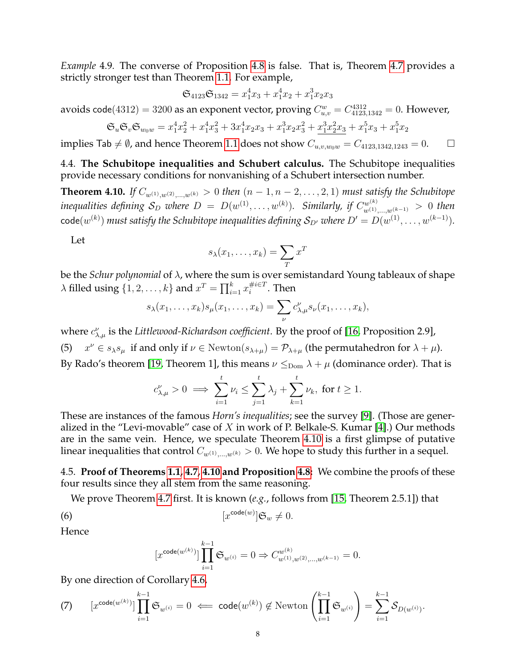*Example* 4.9*.* The converse of Proposition [4.8](#page-6-1) is false. That is, Theorem [4.7](#page-6-0) provides a strictly stronger test than Theorem [1.1.](#page-1-0) For example,

$$
\mathfrak{S}_{4123}\mathfrak{S}_{1342}=x_1^4x_3+x_1^4x_2+x_1^3x_2x_3
$$

avoids code $(4312)=3200$  as an exponent vector, proving  $C_{u,v}^w=C_{4123,1342}^{4312}=0.$  However,

$$
\mathfrak{S}_u \mathfrak{S}_v \mathfrak{S}_{w_0 w} = x_1^4 x_2^2 + x_1^4 x_3^2 + 3 x_1^4 x_2 x_3 + x_1^3 x_2 x_3^2 + \underline{x_1^3 x_2^2 x_3} + x_1^5 x_3 + x_1^5 x_2
$$

implies Tab  $\neq \emptyset$ , and hence Theorem [1.1](#page-1-0) does not show  $C_{u,v,w_0w} = C_{4123,1342,1243} = 0.$   $\Box$ 

4.4. **The Schubitope inequalities and Schubert calculus.** The Schubitope inequalities provide necessary conditions for nonvanishing of a Schubert intersection number.

<span id="page-7-0"></span>**Theorem 4.10.** *If*  $C_{w^{(1)},w^{(2)},...,w^{(k)}} > 0$  *then*  $(n-1,n-2,...,2,1)$  *must satisfy the Schubitope inequalities defining*  $\mathcal{S}_D$  *where*  $D = D(w^{(1)}, \ldots, w^{(k)})$ *. Similarly, if*  $C_{w^{(1)}, \ldots, w^{(k-1)}}^{w^{(k)}} > 0$  *then*  $\mathsf{code}(w^{(k)})$  must satisfy the Schubitope inequalities defining  $\mathcal{S}_{D'}$  where  $D'=D(w^{(1)},\ldots,w^{(k-1)}).$ 

Let

$$
s_{\lambda}(x_1,\ldots,x_k)=\sum_{T}x^T
$$

be the *Schur polynomial* of λ, where the sum is over semistandard Young tableaux of shape  $\lambda$  filled using  $\{1, 2, \ldots, k\}$  and  $x^T = \prod_{i=1}^k x_i^{\#i \in T}$  $i^{\#i\in I}$  . Then

$$
s_{\lambda}(x_1,\ldots,x_k)s_{\mu}(x_1,\ldots,x_k)=\sum_{\nu}c_{\lambda,\mu}^{\nu}s_{\nu}(x_1,\ldots,x_k),
$$

where  $c^{\nu}_{\lambda,\mu}$  is the *Littlewood-Richardson coefficient*. By the proof of [\[16,](#page-12-12) Proposition 2.9], (5)  $x^{\nu} \in s_{\lambda} s_{\mu}$  if and only if  $\nu \in \text{Newton}(s_{\lambda+\mu}) = \mathcal{P}_{\lambda+\mu}$  (the permutahedron for  $\lambda + \mu$ ). By Rado's theorem [\[19,](#page-12-18) Theorem 1], this means  $\nu \leq_{\text{Dom}} \lambda + \mu$  (dominance order). That is

$$
c_{\lambda,\mu}^{\nu} > 0 \implies \sum_{i=1}^{t} \nu_i \le \sum_{j=1}^{t} \lambda_j + \sum_{k=1}^{t} \nu_k
$$
, for  $t \ge 1$ .

These are instances of the famous *Horn's inequalities*; see the survey [\[9\]](#page-12-19). (Those are generalized in the "Levi-movable" case of  $X$  in work of P. Belkale-S. Kumar [\[4\]](#page-12-20).) Our methods are in the same vein. Hence, we speculate Theorem [4.10](#page-7-0) is a first glimpse of putative linear inequalities that control  $C_{w^{(1)},...,w^{(k)}} > 0$ . We hope to study this further in a sequel.

4.5. **Proof of Theorems [1.1,](#page-1-0) [4.7,](#page-6-0) [4.10](#page-7-0) and Proposition [4.8:](#page-6-1)** We combine the proofs of these four results since they all stem from the same reasoning.

We prove Theorem [4.7](#page-6-0) first. It is known (*e.g.*, follows from [\[15,](#page-12-4) Theorem 2.5.1]) that

(6) 
$$
[x^{\text{code}(w)}] \mathfrak{S}_w \neq 0.
$$

Hence

<span id="page-7-1"></span>
$$
[x^{\text{code}(w^{(k)})}] \prod_{i=1}^{k-1} \mathfrak{S}_{w^{(i)}} = 0 \Rightarrow C_{w^{(1)},w^{(2)},\ldots,w^{(k-1)}}^{w^{(k)}} = 0.
$$

By one direction of Corollary [4.6,](#page-6-6)

(7) 
$$
[x^{\text{code}(w^{(k)})}] \prod_{i=1}^{k-1} \mathfrak{S}_{w^{(i)}} = 0 \iff \text{code}(w^{(k)}) \notin \text{Newton}\left(\prod_{i=1}^{k-1} \mathfrak{S}_{w^{(i)}}\right) = \sum_{i=1}^{k-1} S_{D(w^{(i)})}.
$$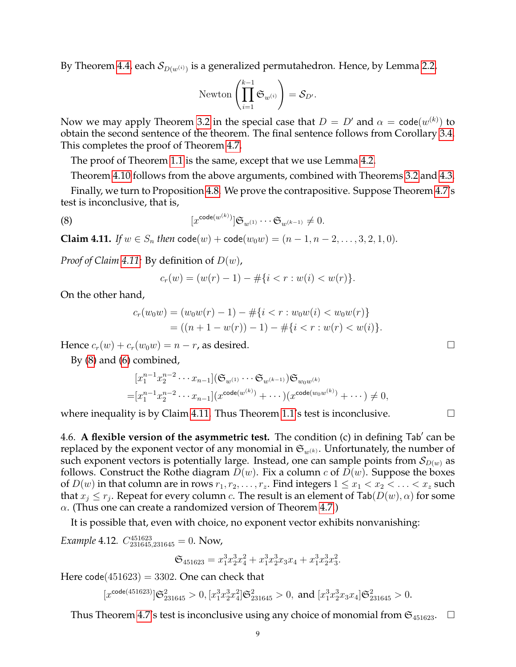By Theorem [4.4,](#page-6-3) each  $\mathcal{S}_{D(w^{(i)})}$  is a generalized permutahedron. Hence, by Lemma [2.2,](#page-2-3)

$$
\text{Newton}\left(\prod_{i=1}^{k-1} \mathfrak{S}_{w^{(i)}}\right) = \mathcal{S}_{D'}.
$$

Now we may apply Theorem [3.2](#page-4-1) in the special case that  $D=D'$  and  $\alpha=\mathsf{code}(w^{(k)})$  to obtain the second sentence of the theorem. The final sentence follows from Corollary [3.4.](#page-5-2) This completes the proof of Theorem [4.7.](#page-6-0)

The proof of Theorem [1.1](#page-1-0) is the same, except that we use Lemma [4.2.](#page-6-7)

Theorem [4.10](#page-7-0) follows from the above arguments, combined with Theorems [3.2](#page-4-1) and [4.3.](#page-6-2)

Finally, we turn to Proposition [4.8.](#page-6-1) We prove the contrapositive. Suppose Theorem [4.7'](#page-6-0)s test is inconclusive, that is,

(8) 
$$
[x^{\text{code}(w^{(k)})}] \mathfrak{S}_{w^{(1)}} \cdots \mathfrak{S}_{w^{(k-1)}} \neq 0.
$$

<span id="page-8-0"></span>**Claim 4.11.** *If*  $w \in S_n$  *then*  $\text{code}(w) + \text{code}(w_0w) = (n-1, n-2, \ldots, 3, 2, 1, 0)$ *.* 

*Proof of Claim [4.11:](#page-8-0)* By definition of D(w),

<span id="page-8-1"></span>
$$
c_r(w) = (w(r) - 1) - #\{i < r : w(i) < w(r)\}.
$$

On the other hand,

$$
c_r(w_0w) = (w_0w(r) - 1) - #\{i < r : w_0w(i) < w_0w(r)\}
$$
  
= ((n + 1 - w(r)) - 1) - #\{i < r : w(r) < w(i)\}.

Hence  $c_r(w) + c_r(w_0w) = n - r$ , as desired.

By [\(8\)](#page-8-1) and [\(6\)](#page-7-1) combined,

$$
[x_1^{n-1}x_2^{n-2}\cdots x_{n-1}](\mathfrak{S}_{w(1)}\cdots \mathfrak{S}_{w(k-1)})\mathfrak{S}_{w_0w(k)}
$$
  
=  $[x_1^{n-1}x_2^{n-2}\cdots x_{n-1}](x^{\text{code}(w^{(k)})}+\cdots)(x^{\text{code}(w_0w^{(k)})}+\cdots)\neq 0,$ 

where inequality is by Claim [4.11.](#page-8-0) Thus Theorem [1.1'](#page-1-0)s test is inconclusive.  $\Box$ 

4.6. A flexible version of the asymmetric test. The condition (c) in defining Tab' can be replaced by the exponent vector of any monomial in  $\mathfrak{S}_{w(k)}$ . Unfortunately, the number of such exponent vectors is potentially large. Instead, one can sample points from  $\mathcal{S}_{D(w)}$  as follows. Construct the Rothe diagram  $D(w)$ . Fix a column c of  $D(w)$ . Suppose the boxes of  $D(w)$  in that column are in rows  $r_1, r_2, \ldots, r_z$ . Find integers  $1 \leq x_1 < x_2 < \ldots < x_z$  such that  $x_j \le r_j$ . Repeat for every column  $c$ . The result is an element of Tab $(D(w), \alpha)$  for some  $\alpha$ . (Thus one can create a randomized version of Theorem [4.7.](#page-6-0))

It is possible that, even with choice, no exponent vector exhibits nonvanishing:

<span id="page-8-2"></span>*Example* 4.12.  $C_{231645,231645}^{451623} = 0$ . Now,

$$
\mathfrak{S}_{451623} = x_1^3 x_2^3 x_4^2 + x_1^3 x_2^3 x_3 x_4 + x_1^3 x_2^3 x_3^2.
$$

Here  $code(451623) = 3302$ . One can check that

 $[x^{\text{code}(451623)}] \mathfrak{S}_{231645}^2 > 0, [x_1^3 x_2^3 x_4^2] \mathfrak{S}_{231645}^2 > 0, \text{ and } [x_1^3 x_2^3 x_3 x_4] \mathfrak{S}_{231645}^2 > 0.$ 

Thus Theorem [4.7'](#page-6-0)s test is inconclusive using any choice of monomial from  $\mathfrak{S}_{451623}$ .  $\Box$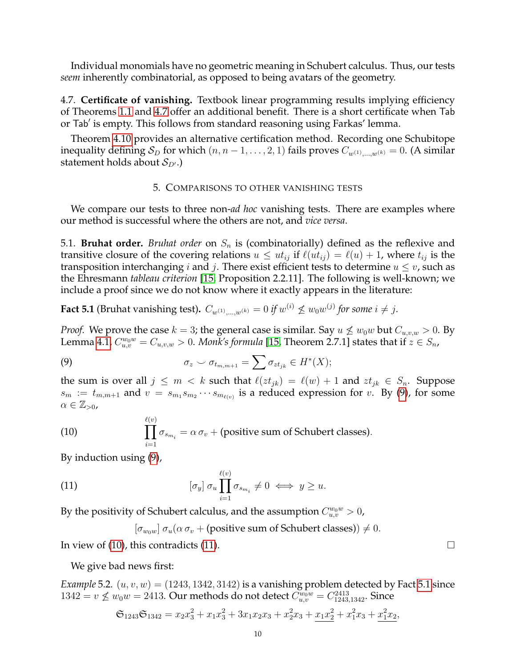Individual monomials have no geometric meaning in Schubert calculus. Thus, our tests *seem* inherently combinatorial, as opposed to being avatars of the geometry.

4.7. **Certificate of vanishing.** Textbook linear programming results implying efficiency of Theorems [1.1](#page-1-0) and [4.7](#page-6-0) offer an additional benefit. There is a short certificate when Tab or Tab' is empty. This follows from standard reasoning using Farkas' lemma.

Theorem [4.10](#page-7-0) provides an alternative certification method. Recording one Schubitope inequality defining  $S_D$  for which  $(n, n-1, \ldots, 2, 1)$  fails proves  $C_{w^{(1)}, \ldots, w^{(k)}} = 0$ . (A similar statement holds about  $S_{D}$ .)

## 5. COMPARISONS TO OTHER VANISHING TESTS

<span id="page-9-0"></span>We compare our tests to three non-*ad hoc* vanishing tests. There are examples where our method is successful where the others are not, and *vice versa*.

5.1. **Bruhat order.** *Bruhat order* on  $S_n$  is (combinatorially) defined as the reflexive and transitive closure of the covering relations  $u \leq ut_{ij}$  if  $\ell(ut_{ij}) = \ell(u) + 1$ , where  $t_{ij}$  is the transposition interchanging *i* and *j*. There exist efficient tests to determine  $u \leq v$ , such as the Ehresmann *tableau criterion* [\[15,](#page-12-4) Proposition 2.2.11]. The following is well-known; we include a proof since we do not know where it exactly appears in the literature:

<span id="page-9-4"></span>**Fact 5.1** (Bruhat vanishing test).  $C_{w^{(1)},...,w^{(k)}} = 0$  if  $w^{(i)} \not\leq w_0 w^{(j)}$  for some  $i \neq j.$ 

*Proof.* We prove the case  $k = 3$ ; the general case is similar. Say  $u \not\leq w_0w$  but  $C_{u,v,w} > 0$ . By Lemma [4.1,](#page-5-3)  $C_{u,v}^{w_0w}=C_{u,v,w}>0.$  *Monk's formula* [\[15,](#page-12-4) Theorem 2.7.1] states that if  $z\in S_n$ ,

<span id="page-9-1"></span>(9) 
$$
\sigma_z \smile \sigma_{t_{m,m+1}} = \sum \sigma_{zt_{jk}} \in H^*(X);
$$

the sum is over all  $j \le m < k$  such that  $\ell(zt_{jk}) = \ell(w) + 1$  and  $zt_{jk} \in S_n$ . Suppose  $s_m := t_{m,m+1}$  and  $v = s_{m_1} s_{m_2} \cdots s_{m_{\ell(v)}}$  is a reduced expression for v. By [\(9\)](#page-9-1), for some  $\alpha \in \mathbb{Z}_{>0}$ 

<span id="page-9-2"></span>(10) 
$$
\prod_{i=1}^{\ell(v)} \sigma_{s_{m_i}} = \alpha \sigma_v + \text{(positive sum of Schubert classes)}.
$$

By induction using [\(9\)](#page-9-1),

(11) 
$$
[\sigma_y] \sigma_u \prod_{i=1}^{\ell(v)} \sigma_{s_{m_i}} \neq 0 \iff y \geq u.
$$

By the positivity of Schubert calculus, and the assumption  $C_{u,v}^{w_0w} > 0$ ,

<span id="page-9-3"></span> $[\sigma_{w_0w}] \sigma_u(\alpha \sigma_v + (\text{positive sum of Schubert classes})) \neq 0.$ 

In view of [\(10\)](#page-9-2), this contradicts [\(11\)](#page-9-3).  $\Box$ 

We give bad news first:

*Example* 5.2.  $(u, v, w) = (1243, 1342, 3142)$  is a vanishing problem detected by Fact [5.1](#page-9-4) since  $1342 = v \nleq w_0w = 2413$ . Our methods do not detect  $C_{u,v}^{w_0w} = C_{1243,1342}^{2413}$ . Since

$$
\mathfrak{S}_{1243}\mathfrak{S}_{1342} = x_2 x_3^2 + x_1 x_3^2 + 3x_1 x_2 x_3 + x_2^2 x_3 + \underline{x_1 x_2^2} + x_1^2 x_3 + \underline{x_1^2 x_2},
$$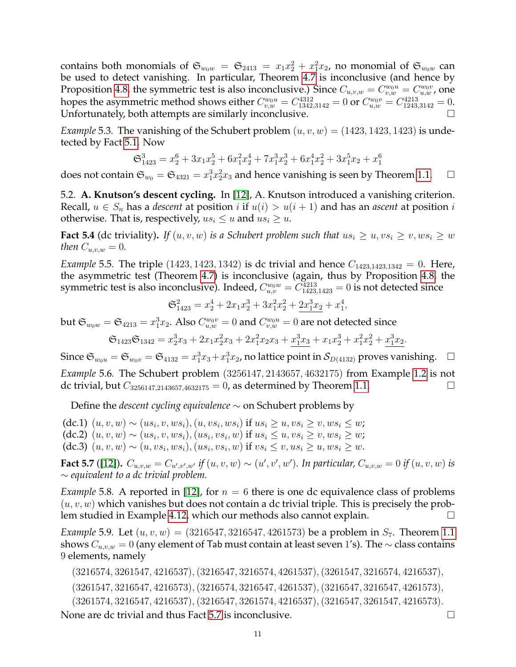contains both monomials of  $\mathfrak{S}_{w_0w} = \mathfrak{S}_{2413} = x_1x_2^2 + x_1^2x_2$ , no monomial of  $\mathfrak{S}_{w_0w}$  can be used to detect vanishing. In particular, Theorem [4.7](#page-6-0) is inconclusive (and hence by Proposition [4.8,](#page-6-1) the symmetric test is also inconclusive.) Since  $C_{u,v,w} = C_{v,w}^{w_0u} = C_{u,w}^{w_0v}$ , one hopes the asymmetric method shows either  $C_{v,w}^{w_0u}=C_{1342,3142}^{4312}=0$  or  $C_{u,w}^{w_0v}=C_{1243,3142}^{4213}=0.$ Unfortunately, both attempts are similarly inconclusive.

*Example* 5.3. The vanishing of the Schubert problem  $(u, v, w) = (1423, 1423, 1423)$  is undetected by Fact [5.1.](#page-9-4) Now

$$
\mathfrak{S}^3_{1423} = x_2^6 + 3x_1x_2^5 + 6x_1^2x_2^4 + 7x_1^3x_2^3 + 6x_1^4x_2^2 + 3x_1^5x_2 + x_1^6
$$

does not contain  $\mathfrak{S}_{w_0} = \mathfrak{S}_{4321} = x_1^3 x_2^2 x_3$  and hence vanishing is seen by Theorem [1.1.](#page-1-0)  $\Box$ 

5.2. **A. Knutson's descent cycling.** In [\[12\]](#page-12-9), A. Knutson introduced a vanishing criterion. Recall,  $u \in S_n$  has a *descent* at position i if  $u(i) > u(i + 1)$  and has an *ascent* at position i otherwise. That is, respectively,  $us_i \leq u$  and  $us_i \geq u$ .

**Fact 5.4** (dc triviality). *If*  $(u, v, w)$  *is a Schubert problem such that*  $us_i \geq u, vs_i \geq v, ws_i \geq w$ *then*  $C_{u,v,w} = 0$ *.* 

<span id="page-10-1"></span>*Example* 5.5. The triple  $(1423, 1423, 1342)$  is dc trivial and hence  $C_{1423, 1423, 1342} = 0$ . Here, the asymmetric test (Theorem [4.7\)](#page-6-0) is inconclusive (again, thus by Proposition [4.8,](#page-6-1) the symmetric test is also inconclusive). Indeed,  $C_{u,v}^{w_0w}=C_{1423,1423}^{4213}=0$  is not detected since

$$
\mathfrak{S}_{1423}^2=x_2^4+2x_1x_2^3+3x_1^2x_2^2+\underline{2x_1^3x_2}+x_1^4,
$$

but  $\mathfrak{S}_{w_0w}=\mathfrak{S}_{4213}=x_1^3x_2.$  Also  $C^{w_0v}_{u,w}=0$  and  $C^{w_0u}_{v,w}=0$  are not detected since

$$
\mathfrak{S}_{1423} \mathfrak{S}_{1342}= x_2^3x_3+2x_1x_2^2x_3+2x_1^2x_2x_3+\underline{x_1^3x_3}+x_1x_2^3+x_1^2x_2^2+\underline{x_1^3x_2}.
$$

Since  $\mathfrak{S}_{w_0u} = \mathfrak{S}_{w_0v} = \mathfrak{S}_{4132} = x_1^3x_3 + x_1^3x_2$ , no lattice point in  $\mathcal{S}_{D(4132)}$  proves vanishing.  $\Box$ *Example* 5.6*.* The Schubert problem (3256147, 2143657, 4632175) from Example [1.2](#page-1-1) is not dc trivial, but  $C_{3256147,2143657,4632175} = 0$ , as determined by Theorem [1.1.](#page-1-0)

Define the *descent cycling equivalence* ∼ on Schubert problems by

 $(dc.1)$   $(u, v, w)$  ∼  $(us_i, v, ws_i), (u, vs_i, ws_i)$  if  $us_i ≥ u, vs_i ≥ v, ws_i ≤ w;$ (dc.2)  $(u, v, w) \sim (us_i, v, ws_i), (us_i, vs_i, w)$  if  $us_i \le u, vs_i \ge v, ws_i \ge w$ ; (dc.3)  $(u, v, w) \sim (u, vs_i, ws_i), (us_i, vs_i, w)$  if  $vs_i \le v, us_i \ge u, ws_i \ge w$ .

<span id="page-10-0"></span>**Fact 5.7** ([\[12\]](#page-12-9)).  $C_{u,v,w} = C_{u',v',w'}$  if  $(u, v, w) \sim (u', v', w')$ . In particular,  $C_{u,v,w} = 0$  if  $(u, v, w)$  is ∼ *equivalent to a dc trivial problem.*

*Example* 5.8. A reported in [\[12\]](#page-12-9), for  $n = 6$  there is one dc equivalence class of problems  $(u, v, w)$  which vanishes but does not contain a dc trivial triple. This is precisely the problem studied in Example [4.12,](#page-8-2) which our methods also cannot explain.

*Example* 5.9. Let  $(u, v, w) = (3216547, 3216547, 4261573)$  be a problem in  $S_7$ . Theorem [1.1](#page-1-0) shows  $C_{u,v,w} = 0$  (any element of Tab must contain at least seven 1's). The  $\sim$  class contains 9 elements, namely

(3216574, 3261547, 4216537),(3216547, 3216574, 4261537),(3261547, 3216574, 4216537),

(3261547, 3216547, 4216573),(3216574, 3216547, 4261537),(3216547, 3216547, 4261573),

(3261574, 3216547, 4216537),(3216547, 3261574, 4216537),(3216547, 3261547, 4216573).

None are dc trivial and thus Fact [5.7](#page-10-0) is inconclusive.  $\Box$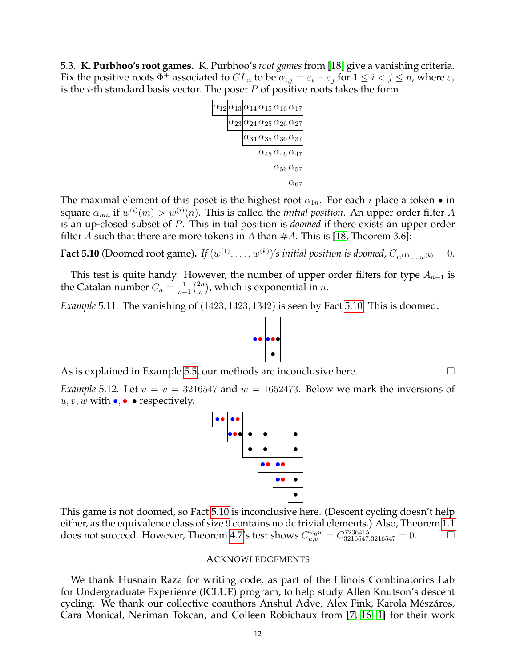5.3. **K. Purbhoo's root games.** K. Purbhoo's *root games* from [\[18\]](#page-12-10) give a vanishing criteria. Fix the positive roots  $\Phi^+$  associated to  $GL_n$  to be  $\alpha_{i,j}=\varepsilon_i-\varepsilon_j$  for  $1\leq i < j \leq n$ , where  $\varepsilon_i$ is the *i*-th standard basis vector. The poset  $P$  of positive roots takes the form



The maximal element of this poset is the highest root  $\alpha_{1n}$ . For each *i* place a token  $\bullet$  in square  $\alpha_{mn}$  if  $w^{(i)}(m) > w^{(i)}(n)$ . This is called the *initial position*. An upper order filter  $A$ is an up-closed subset of P. This initial position is *doomed* if there exists an upper order filter A such that there are more tokens in A than  $#A$ . This is [\[18,](#page-12-10) Theorem 3.6]:

<span id="page-11-0"></span>**Fact 5.10** (Doomed root game). If  $(w^{(1)}, \ldots, w^{(k)})$ 's initial position is doomed,  $C_{w^{(1)}, \ldots, w^{(k)}} = 0$ .

This test is quite handy. However, the number of upper order filters for type  $A_{n-1}$  is the Catalan number  $C_n = \frac{1}{n+1} {2n \choose n}$  $\binom{2n}{n}$ , which is exponential in  $n.$ 

*Example* 5.11*.* The vanishing of (1423, 1423, 1342) is seen by Fact [5.10.](#page-11-0) This is doomed:



As is explained in Example [5.5,](#page-10-1) our methods are inconclusive here.

*Example* 5.12*.* Let  $u = v = 3216547$  and  $w = 1652473$ . Below we mark the inversions of  $u, v, w$  with  $\bullet, \bullet, \bullet$  respectively.

This game is not doomed, so Fact [5.10](#page-11-0) is inconclusive here. (Descent cycling doesn't help either, as the equivalence class of size 9 contains no dc trivial elements.) Also, Theorem [1.1](#page-1-0) does not succeed. However, Theorem [4.7'](#page-6-0)s test shows  $C_{u,v}^{w_0w} = C_{3216547,3216547}^{7236415} = 0.$ 

#### ACKNOWLEDGEMENTS

We thank Husnain Raza for writing code, as part of the Illinois Combinatorics Lab for Undergraduate Experience (ICLUE) program, to help study Allen Knutson's descent cycling. We thank our collective coauthors Anshul Adve, Alex Fink, Karola Mészáros, Cara Monical, Neriman Tokcan, and Colleen Robichaux from [\[7,](#page-12-11) [16,](#page-12-12) [1\]](#page-12-13) for their work